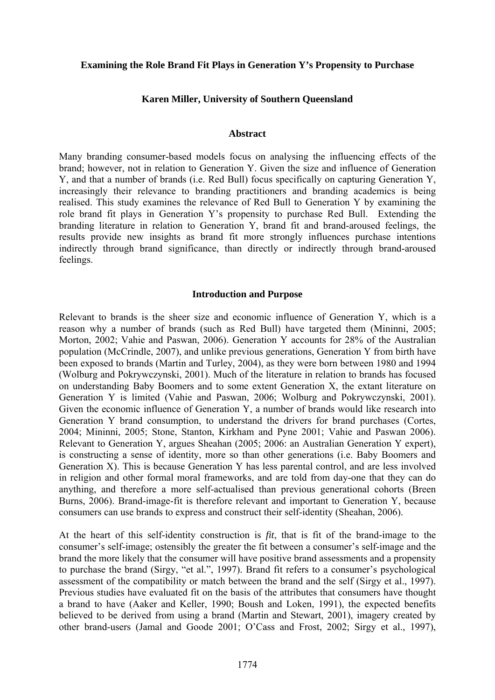# **Examining the Role Brand Fit Plays in Generation Y's Propensity to Purchase**

## **Karen Miller, University of Southern Queensland**

# **Abstract**

Many branding consumer-based models focus on analysing the influencing effects of the brand; however, not in relation to Generation Y. Given the size and influence of Generation Y, and that a number of brands (i.e. Red Bull) focus specifically on capturing Generation Y, increasingly their relevance to branding practitioners and branding academics is being realised. This study examines the relevance of Red Bull to Generation Y by examining the role brand fit plays in Generation Y's propensity to purchase Red Bull. Extending the branding literature in relation to Generation Y, brand fit and brand-aroused feelings, the results provide new insights as brand fit more strongly influences purchase intentions indirectly through brand significance, than directly or indirectly through brand-aroused feelings.

### **Introduction and Purpose**

Relevant to brands is the sheer size and economic influence of Generation Y, which is a reason why a number of brands (such as Red Bull) have targeted them (Mininni, 2005; Morton, 2002; Vahie and Paswan, 2006). Generation Y accounts for 28% of the Australian population (McCrindle, 2007), and unlike previous generations, Generation Y from birth have been exposed to brands (Martin and Turley, 2004), as they were born between 1980 and 1994 (Wolburg and Pokrywczynski, 2001). Much of the literature in relation to brands has focused on understanding Baby Boomers and to some extent Generation X, the extant literature on Generation Y is limited (Vahie and Paswan, 2006; Wolburg and Pokrywczynski, 2001). Given the economic influence of Generation Y, a number of brands would like research into Generation Y brand consumption, to understand the drivers for brand purchases (Cortes, 2004; Mininni, 2005; Stone, Stanton, Kirkham and Pyne 2001; Vahie and Paswan 2006). Relevant to Generation Y, argues Sheahan (2005; 2006: an Australian Generation Y expert), is constructing a sense of identity, more so than other generations (i.e. Baby Boomers and Generation X). This is because Generation Y has less parental control, and are less involved in religion and other formal moral frameworks, and are told from day-one that they can do anything, and therefore a more self-actualised than previous generational cohorts (Breen Burns, 2006). Brand-image-fit is therefore relevant and important to Generation Y, because consumers can use brands to express and construct their self-identity (Sheahan, 2006).

At the heart of this self-identity construction is *fit*, that is fit of the brand-image to the consumer's self-image; ostensibly the greater the fit between a consumer's self-image and the brand the more likely that the consumer will have positive brand assessments and a propensity to purchase the brand (Sirgy, "et al.", 1997). Brand fit refers to a consumer's psychological assessment of the compatibility or match between the brand and the self (Sirgy et al., 1997). Previous studies have evaluated fit on the basis of the attributes that consumers have thought a brand to have (Aaker and Keller, 1990; Boush and Loken, 1991), the expected benefits believed to be derived from using a brand (Martin and Stewart, 2001), imagery created by other brand-users (Jamal and Goode 2001; O'Cass and Frost, 2002; Sirgy et al., 1997),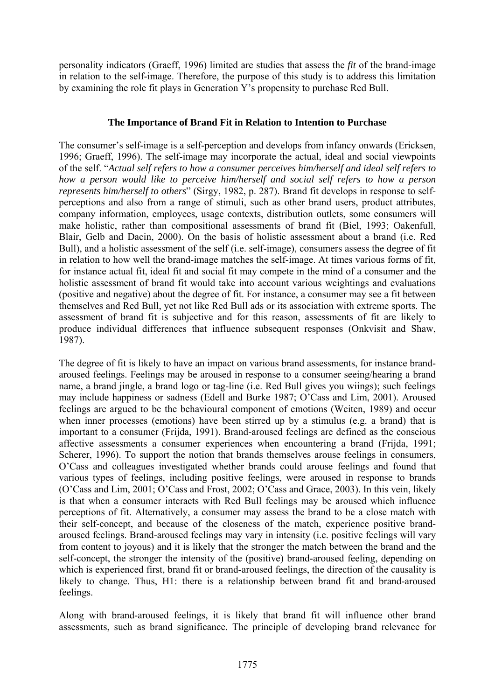personality indicators (Graeff, 1996) limited are studies that assess the *fit* of the brand-image in relation to the self-image. Therefore, the purpose of this study is to address this limitation by examining the role fit plays in Generation Y's propensity to purchase Red Bull.

# **The Importance of Brand Fit in Relation to Intention to Purchase**

The consumer's self-image is a self-perception and develops from infancy onwards (Ericksen, 1996; Graeff, 1996). The self-image may incorporate the actual, ideal and social viewpoints of the self. "*Actual self refers to how a consumer perceives him/herself and ideal self refers to how a person would like to perceive him/herself and social self refers to how a person represents him/herself to others*" (Sirgy, 1982, p. 287). Brand fit develops in response to selfperceptions and also from a range of stimuli, such as other brand users, product attributes, company information, employees, usage contexts, distribution outlets, some consumers will make holistic, rather than compositional assessments of brand fit (Biel, 1993; Oakenfull, Blair, Gelb and Dacin, 2000). On the basis of holistic assessment about a brand (i.e. Red Bull), and a holistic assessment of the self (i.e. self-image), consumers assess the degree of fit in relation to how well the brand-image matches the self-image. At times various forms of fit, for instance actual fit, ideal fit and social fit may compete in the mind of a consumer and the holistic assessment of brand fit would take into account various weightings and evaluations (positive and negative) about the degree of fit. For instance, a consumer may see a fit between themselves and Red Bull, yet not like Red Bull ads or its association with extreme sports. The assessment of brand fit is subjective and for this reason, assessments of fit are likely to produce individual differences that influence subsequent responses (Onkvisit and Shaw, 1987).

The degree of fit is likely to have an impact on various brand assessments, for instance brandaroused feelings. Feelings may be aroused in response to a consumer seeing/hearing a brand name, a brand jingle, a brand logo or tag-line (i.e. Red Bull gives you wiings); such feelings may include happiness or sadness (Edell and Burke 1987; O'Cass and Lim, 2001). Aroused feelings are argued to be the behavioural component of emotions (Weiten, 1989) and occur when inner processes (emotions) have been stirred up by a stimulus (e.g. a brand) that is important to a consumer (Frijda, 1991). Brand-aroused feelings are defined as the conscious affective assessments a consumer experiences when encountering a brand (Frijda, 1991; Scherer, 1996). To support the notion that brands themselves arouse feelings in consumers, O'Cass and colleagues investigated whether brands could arouse feelings and found that various types of feelings, including positive feelings, were aroused in response to brands (O'Cass and Lim, 2001; O'Cass and Frost, 2002; O'Cass and Grace, 2003). In this vein, likely is that when a consumer interacts with Red Bull feelings may be aroused which influence perceptions of fit. Alternatively, a consumer may assess the brand to be a close match with their self-concept, and because of the closeness of the match, experience positive brandaroused feelings. Brand-aroused feelings may vary in intensity (i.e. positive feelings will vary from content to joyous) and it is likely that the stronger the match between the brand and the self-concept, the stronger the intensity of the (positive) brand-aroused feeling, depending on which is experienced first, brand fit or brand-aroused feelings, the direction of the causality is likely to change. Thus, H1: there is a relationship between brand fit and brand-aroused feelings.

Along with brand-aroused feelings, it is likely that brand fit will influence other brand assessments, such as brand significance. The principle of developing brand relevance for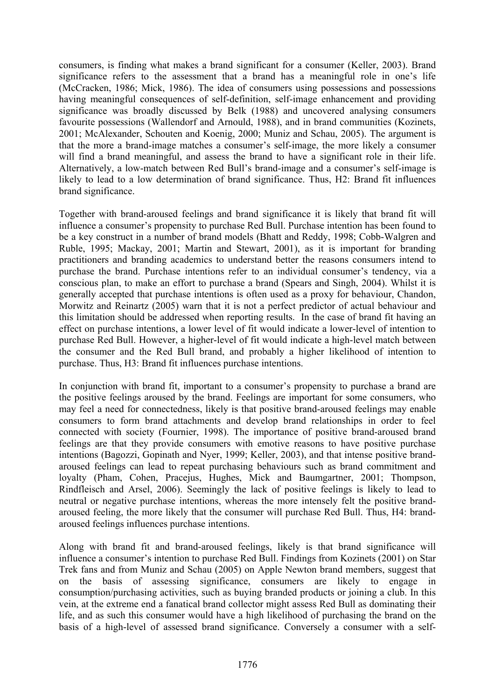consumers, is finding what makes a brand significant for a consumer (Keller, 2003). Brand significance refers to the assessment that a brand has a meaningful role in one's life (McCracken, 1986; Mick, 1986). The idea of consumers using possessions and possessions having meaningful consequences of self-definition, self-image enhancement and providing significance was broadly discussed by Belk (1988) and uncovered analysing consumers favourite possessions (Wallendorf and Arnould, 1988), and in brand communities (Kozinets, 2001; McAlexander, Schouten and Koenig, 2000; Muniz and Schau, 2005). The argument is that the more a brand-image matches a consumer's self-image, the more likely a consumer will find a brand meaningful, and assess the brand to have a significant role in their life. Alternatively, a low-match between Red Bull's brand-image and a consumer's self-image is likely to lead to a low determination of brand significance. Thus, H2: Brand fit influences brand significance.

Together with brand-aroused feelings and brand significance it is likely that brand fit will influence a consumer's propensity to purchase Red Bull. Purchase intention has been found to be a key construct in a number of brand models (Bhatt and Reddy, 1998; Cobb-Walgren and Ruble, 1995; Mackay, 2001; Martin and Stewart, 2001), as it is important for branding practitioners and branding academics to understand better the reasons consumers intend to purchase the brand. Purchase intentions refer to an individual consumer's tendency, via a conscious plan, to make an effort to purchase a brand (Spears and Singh, 2004). Whilst it is generally accepted that purchase intentions is often used as a proxy for behaviour, Chandon, Morwitz and Reinartz (2005) warn that it is not a perfect predictor of actual behaviour and this limitation should be addressed when reporting results. In the case of brand fit having an effect on purchase intentions, a lower level of fit would indicate a lower-level of intention to purchase Red Bull. However, a higher-level of fit would indicate a high-level match between the consumer and the Red Bull brand, and probably a higher likelihood of intention to purchase. Thus, H3: Brand fit influences purchase intentions.

In conjunction with brand fit, important to a consumer's propensity to purchase a brand are the positive feelings aroused by the brand. Feelings are important for some consumers, who may feel a need for connectedness, likely is that positive brand-aroused feelings may enable consumers to form brand attachments and develop brand relationships in order to feel connected with society (Fournier, 1998). The importance of positive brand-aroused brand feelings are that they provide consumers with emotive reasons to have positive purchase intentions (Bagozzi, Gopinath and Nyer, 1999; Keller, 2003), and that intense positive brandaroused feelings can lead to repeat purchasing behaviours such as brand commitment and loyalty (Pham, Cohen, Pracejus, Hughes, Mick and Baumgartner, 2001; Thompson, Rindfleisch and Arsel, 2006). Seemingly the lack of positive feelings is likely to lead to neutral or negative purchase intentions, whereas the more intensely felt the positive brandaroused feeling, the more likely that the consumer will purchase Red Bull. Thus, H4: brandaroused feelings influences purchase intentions.

Along with brand fit and brand-aroused feelings, likely is that brand significance will influence a consumer's intention to purchase Red Bull. Findings from Kozinets (2001) on Star Trek fans and from Muniz and Schau (2005) on Apple Newton brand members, suggest that on the basis of assessing significance, consumers are likely to engage in consumption/purchasing activities, such as buying branded products or joining a club. In this vein, at the extreme end a fanatical brand collector might assess Red Bull as dominating their life, and as such this consumer would have a high likelihood of purchasing the brand on the basis of a high-level of assessed brand significance. Conversely a consumer with a self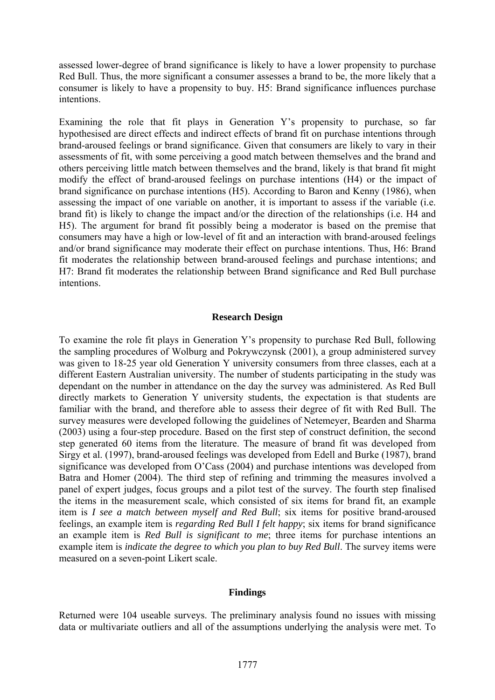assessed lower-degree of brand significance is likely to have a lower propensity to purchase Red Bull. Thus, the more significant a consumer assesses a brand to be, the more likely that a consumer is likely to have a propensity to buy. H5: Brand significance influences purchase intentions.

Examining the role that fit plays in Generation Y's propensity to purchase, so far hypothesised are direct effects and indirect effects of brand fit on purchase intentions through brand-aroused feelings or brand significance. Given that consumers are likely to vary in their assessments of fit, with some perceiving a good match between themselves and the brand and others perceiving little match between themselves and the brand, likely is that brand fit might modify the effect of brand-aroused feelings on purchase intentions (H4) or the impact of brand significance on purchase intentions (H5). According to Baron and Kenny (1986), when assessing the impact of one variable on another, it is important to assess if the variable (i.e. brand fit) is likely to change the impact and/or the direction of the relationships (i.e. H4 and H5). The argument for brand fit possibly being a moderator is based on the premise that consumers may have a high or low-level of fit and an interaction with brand-aroused feelings and/or brand significance may moderate their effect on purchase intentions. Thus, H6: Brand fit moderates the relationship between brand-aroused feelings and purchase intentions; and H7: Brand fit moderates the relationship between Brand significance and Red Bull purchase intentions.

## **Research Design**

To examine the role fit plays in Generation Y's propensity to purchase Red Bull, following the sampling procedures of Wolburg and Pokrywczynsk (2001), a group administered survey was given to 18-25 year old Generation Y university consumers from three classes, each at a different Eastern Australian university. The number of students participating in the study was dependant on the number in attendance on the day the survey was administered. As Red Bull directly markets to Generation Y university students, the expectation is that students are familiar with the brand, and therefore able to assess their degree of fit with Red Bull. The survey measures were developed following the guidelines of Netemeyer, Bearden and Sharma (2003) using a four-step procedure. Based on the first step of construct definition, the second step generated 60 items from the literature. The measure of brand fit was developed from Sirgy et al. (1997), brand-aroused feelings was developed from Edell and Burke (1987), brand significance was developed from O'Cass (2004) and purchase intentions was developed from Batra and Homer (2004). The third step of refining and trimming the measures involved a panel of expert judges, focus groups and a pilot test of the survey. The fourth step finalised the items in the measurement scale, which consisted of six items for brand fit, an example item is *I see a match between myself and Red Bull*; six items for positive brand-aroused feelings, an example item is *regarding Red Bull I felt happy*; six items for brand significance an example item is *Red Bull is significant to me*; three items for purchase intentions an example item is *indicate the degree to which you plan to buy Red Bull*. The survey items were measured on a seven-point Likert scale.

# **Findings**

Returned were 104 useable surveys. The preliminary analysis found no issues with missing data or multivariate outliers and all of the assumptions underlying the analysis were met. To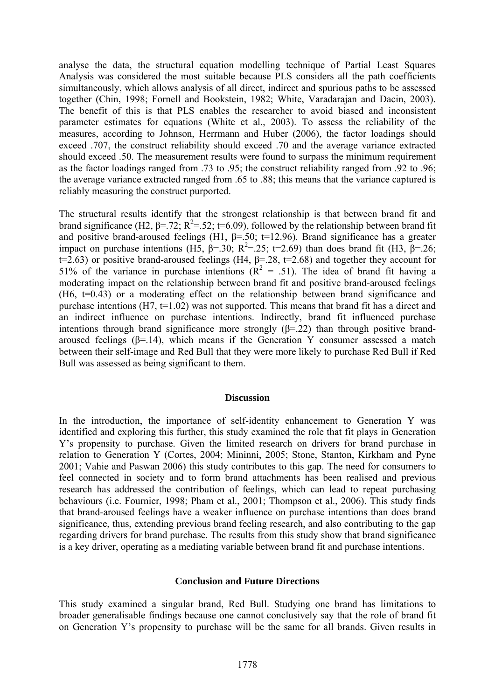analyse the data, the structural equation modelling technique of Partial Least Squares Analysis was considered the most suitable because PLS considers all the path coefficients simultaneously, which allows analysis of all direct, indirect and spurious paths to be assessed together (Chin, 1998; Fornell and Bookstein, 1982; White, Varadarajan and Dacin, 2003). The benefit of this is that PLS enables the researcher to avoid biased and inconsistent parameter estimates for equations (White et al., 2003). To assess the reliability of the measures, according to Johnson, Herrmann and Huber (2006), the factor loadings should exceed .707, the construct reliability should exceed .70 and the average variance extracted should exceed .50. The measurement results were found to surpass the minimum requirement as the factor loadings ranged from .73 to .95; the construct reliability ranged from .92 to .96; the average variance extracted ranged from .65 to .88; this means that the variance captured is reliably measuring the construct purported.

The structural results identify that the strongest relationship is that between brand fit and brand significance (H2,  $\beta$ =.72; R<sup>2</sup>=.52; t=6.09), followed by the relationship between brand fit and positive brand-aroused feelings (H1,  $\beta$ =.50; t=12.96). Brand significance has a greater impact on purchase intentions (H5,  $\beta$ =.30; R<sup>2</sup>=.25; t=2.69) than does brand fit (H3,  $\beta$ =.26; t=2.63) or positive brand-aroused feelings (H4,  $\beta$ =.28, t=2.68) and together they account for 51% of the variance in purchase intentions  $(R^2 = .51)$ . The idea of brand fit having a moderating impact on the relationship between brand fit and positive brand-aroused feelings (H6, t=0.43) or a moderating effect on the relationship between brand significance and purchase intentions  $(H7, t=1.02)$  was not supported. This means that brand fit has a direct and an indirect influence on purchase intentions. Indirectly, brand fit influenced purchase intentions through brand significance more strongly  $(\beta = 22)$  than through positive brandaroused feelings ( $β=14$ ), which means if the Generation Y consumer assessed a match between their self-image and Red Bull that they were more likely to purchase Red Bull if Red Bull was assessed as being significant to them.

### **Discussion**

In the introduction, the importance of self-identity enhancement to Generation Y was identified and exploring this further, this study examined the role that fit plays in Generation Y's propensity to purchase. Given the limited research on drivers for brand purchase in relation to Generation Y (Cortes, 2004; Mininni, 2005; Stone, Stanton, Kirkham and Pyne 2001; Vahie and Paswan 2006) this study contributes to this gap. The need for consumers to feel connected in society and to form brand attachments has been realised and previous research has addressed the contribution of feelings, which can lead to repeat purchasing behaviours (i.e. Fournier, 1998; Pham et al., 2001; Thompson et al., 2006). This study finds that brand-aroused feelings have a weaker influence on purchase intentions than does brand significance, thus, extending previous brand feeling research, and also contributing to the gap regarding drivers for brand purchase. The results from this study show that brand significance is a key driver, operating as a mediating variable between brand fit and purchase intentions.

### **Conclusion and Future Directions**

This study examined a singular brand, Red Bull. Studying one brand has limitations to broader generalisable findings because one cannot conclusively say that the role of brand fit on Generation Y's propensity to purchase will be the same for all brands. Given results in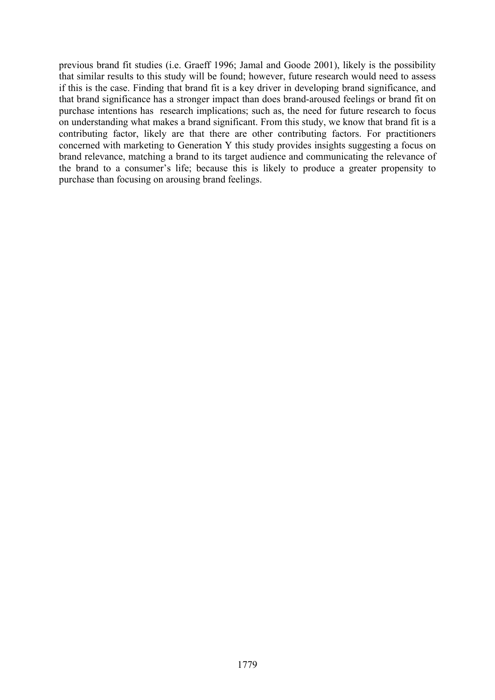previous brand fit studies (i.e. Graeff 1996; Jamal and Goode 2001), likely is the possibility that similar results to this study will be found; however, future research would need to assess if this is the case. Finding that brand fit is a key driver in developing brand significance, and that brand significance has a stronger impact than does brand-aroused feelings or brand fit on purchase intentions has research implications; such as, the need for future research to focus on understanding what makes a brand significant. From this study, we know that brand fit is a contributing factor, likely are that there are other contributing factors. For practitioners concerned with marketing to Generation Y this study provides insights suggesting a focus on brand relevance, matching a brand to its target audience and communicating the relevance of the brand to a consumer's life; because this is likely to produce a greater propensity to purchase than focusing on arousing brand feelings.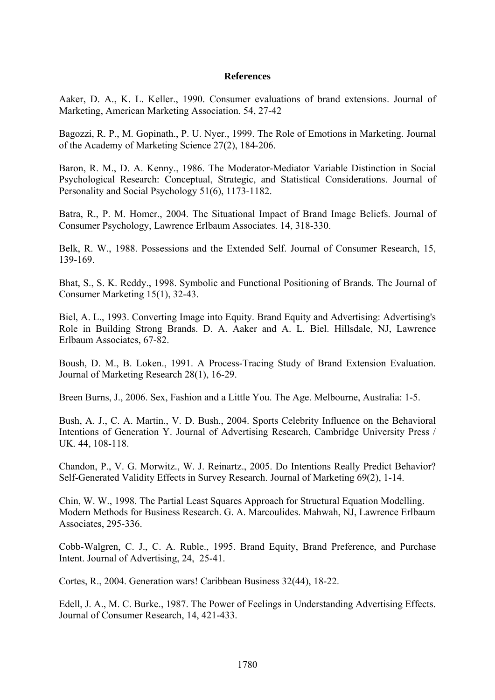## **References**

Aaker, D. A., K. L. Keller., 1990. Consumer evaluations of brand extensions. Journal of Marketing, American Marketing Association. 54, 27-42

Bagozzi, R. P., M. Gopinath., P. U. Nyer., 1999. The Role of Emotions in Marketing. Journal of the Academy of Marketing Science 27(2), 184-206.

Baron, R. M., D. A. Kenny., 1986. The Moderator-Mediator Variable Distinction in Social Psychological Research: Conceptual, Strategic, and Statistical Considerations. Journal of Personality and Social Psychology 51(6), 1173-1182.

Batra, R., P. M. Homer., 2004. The Situational Impact of Brand Image Beliefs. Journal of Consumer Psychology, Lawrence Erlbaum Associates. 14, 318-330.

Belk, R. W., 1988. Possessions and the Extended Self. Journal of Consumer Research, 15, 139-169.

Bhat, S., S. K. Reddy., 1998. Symbolic and Functional Positioning of Brands. The Journal of Consumer Marketing 15(1), 32-43.

Biel, A. L., 1993. Converting Image into Equity. Brand Equity and Advertising: Advertising's Role in Building Strong Brands. D. A. Aaker and A. L. Biel. Hillsdale, NJ, Lawrence Erlbaum Associates, 67-82.

Boush, D. M., B. Loken., 1991. A Process-Tracing Study of Brand Extension Evaluation. Journal of Marketing Research 28(1), 16-29.

Breen Burns, J., 2006. Sex, Fashion and a Little You. The Age. Melbourne, Australia: 1-5.

Bush, A. J., C. A. Martin., V. D. Bush., 2004. Sports Celebrity Influence on the Behavioral Intentions of Generation Y. Journal of Advertising Research, Cambridge University Press / UK. 44, 108-118.

Chandon, P., V. G. Morwitz., W. J. Reinartz., 2005. Do Intentions Really Predict Behavior? Self-Generated Validity Effects in Survey Research. Journal of Marketing 69(2), 1-14.

Chin, W. W., 1998. The Partial Least Squares Approach for Structural Equation Modelling. Modern Methods for Business Research. G. A. Marcoulides. Mahwah, NJ, Lawrence Erlbaum Associates, 295-336.

Cobb-Walgren, C. J., C. A. Ruble., 1995. Brand Equity, Brand Preference, and Purchase Intent. Journal of Advertising, 24, 25-41.

Cortes, R., 2004. Generation wars! Caribbean Business 32(44), 18-22.

Edell, J. A., M. C. Burke., 1987. The Power of Feelings in Understanding Advertising Effects. Journal of Consumer Research, 14, 421-433.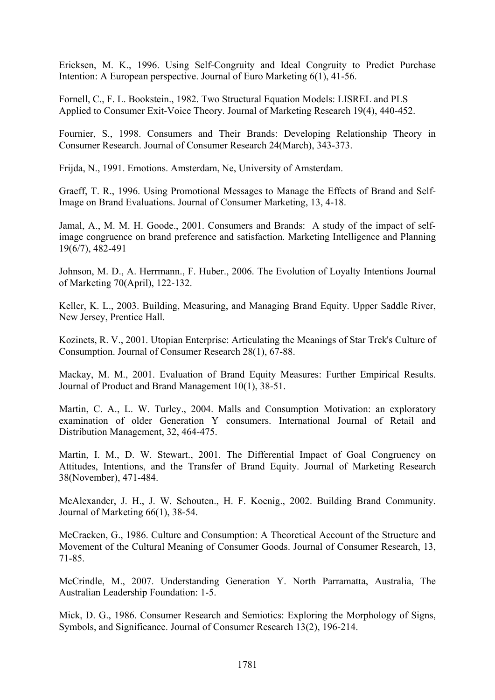Ericksen, M. K., 1996. Using Self-Congruity and Ideal Congruity to Predict Purchase Intention: A European perspective. Journal of Euro Marketing 6(1), 41-56.

Fornell, C., F. L. Bookstein., 1982. Two Structural Equation Models: LISREL and PLS Applied to Consumer Exit-Voice Theory. Journal of Marketing Research 19(4), 440-452.

Fournier, S., 1998. Consumers and Their Brands: Developing Relationship Theory in Consumer Research. Journal of Consumer Research 24(March), 343-373.

Frijda, N., 1991. Emotions. Amsterdam, Ne, University of Amsterdam.

Graeff, T. R., 1996. Using Promotional Messages to Manage the Effects of Brand and Self-Image on Brand Evaluations. Journal of Consumer Marketing, 13, 4-18.

Jamal, A., M. M. H. Goode., 2001. Consumers and Brands: A study of the impact of selfimage congruence on brand preference and satisfaction. Marketing Intelligence and Planning 19(6/7), 482-491

Johnson, M. D., A. Herrmann., F. Huber., 2006. The Evolution of Loyalty Intentions Journal of Marketing 70(April), 122-132.

Keller, K. L., 2003. Building, Measuring, and Managing Brand Equity. Upper Saddle River, New Jersey, Prentice Hall.

Kozinets, R. V., 2001. Utopian Enterprise: Articulating the Meanings of Star Trek's Culture of Consumption. Journal of Consumer Research 28(1), 67-88.

Mackay, M. M., 2001. Evaluation of Brand Equity Measures: Further Empirical Results. Journal of Product and Brand Management 10(1), 38-51.

Martin, C. A., L. W. Turley., 2004. Malls and Consumption Motivation: an exploratory examination of older Generation Y consumers. International Journal of Retail and Distribution Management, 32, 464-475.

Martin, I. M., D. W. Stewart., 2001. The Differential Impact of Goal Congruency on Attitudes, Intentions, and the Transfer of Brand Equity. Journal of Marketing Research 38(November), 471-484.

McAlexander, J. H., J. W. Schouten., H. F. Koenig., 2002. Building Brand Community. Journal of Marketing 66(1), 38-54.

McCracken, G., 1986. Culture and Consumption: A Theoretical Account of the Structure and Movement of the Cultural Meaning of Consumer Goods. Journal of Consumer Research, 13, 71-85.

McCrindle, M., 2007. Understanding Generation Y. North Parramatta, Australia, The Australian Leadership Foundation: 1-5.

Mick, D. G., 1986. Consumer Research and Semiotics: Exploring the Morphology of Signs, Symbols, and Significance. Journal of Consumer Research 13(2), 196-214.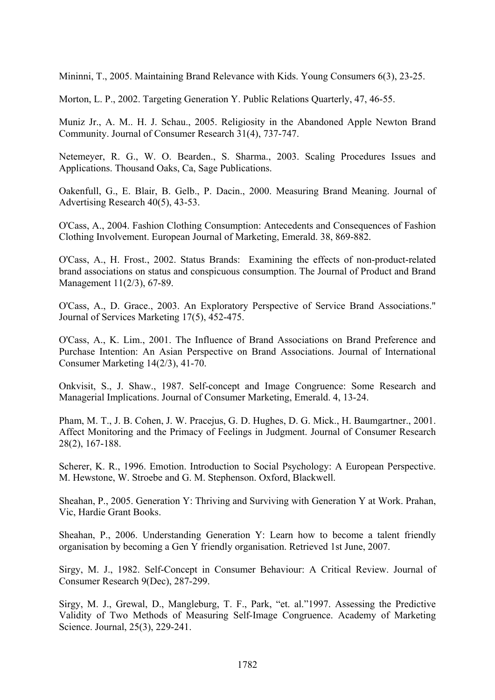Mininni, T., 2005. Maintaining Brand Relevance with Kids. Young Consumers 6(3), 23-25.

Morton, L. P., 2002. Targeting Generation Y. Public Relations Quarterly, 47, 46-55.

Muniz Jr., A. M.. H. J. Schau., 2005. Religiosity in the Abandoned Apple Newton Brand Community. Journal of Consumer Research 31(4), 737-747.

Netemeyer, R. G., W. O. Bearden., S. Sharma., 2003. Scaling Procedures Issues and Applications. Thousand Oaks, Ca, Sage Publications.

Oakenfull, G., E. Blair, B. Gelb., P. Dacin., 2000. Measuring Brand Meaning. Journal of Advertising Research 40(5), 43-53.

O'Cass, A., 2004. Fashion Clothing Consumption: Antecedents and Consequences of Fashion Clothing Involvement. European Journal of Marketing, Emerald. 38, 869-882.

O'Cass, A., H. Frost., 2002. Status Brands: Examining the effects of non-product-related brand associations on status and conspicuous consumption. The Journal of Product and Brand Management 11(2/3), 67-89.

O'Cass, A., D. Grace., 2003. An Exploratory Perspective of Service Brand Associations." Journal of Services Marketing 17(5), 452-475.

O'Cass, A., K. Lim., 2001. The Influence of Brand Associations on Brand Preference and Purchase Intention: An Asian Perspective on Brand Associations. Journal of International Consumer Marketing 14(2/3), 41-70.

Onkvisit, S., J. Shaw., 1987. Self-concept and Image Congruence: Some Research and Managerial Implications. Journal of Consumer Marketing, Emerald. 4, 13-24.

Pham, M. T., J. B. Cohen, J. W. Pracejus, G. D. Hughes, D. G. Mick., H. Baumgartner., 2001. Affect Monitoring and the Primacy of Feelings in Judgment. Journal of Consumer Research 28(2), 167-188.

Scherer, K. R., 1996. Emotion. Introduction to Social Psychology: A European Perspective. M. Hewstone, W. Stroebe and G. M. Stephenson. Oxford, Blackwell.

Sheahan, P., 2005. Generation Y: Thriving and Surviving with Generation Y at Work. Prahan, Vic, Hardie Grant Books.

Sheahan, P., 2006. Understanding Generation Y: Learn how to become a talent friendly organisation by becoming a Gen Y friendly organisation. Retrieved 1st June, 2007.

Sirgy, M. J., 1982. Self-Concept in Consumer Behaviour: A Critical Review. Journal of Consumer Research 9(Dec), 287-299.

Sirgy, M. J., Grewal, D., Mangleburg, T. F., Park, "et. al."1997. Assessing the Predictive Validity of Two Methods of Measuring Self-Image Congruence. Academy of Marketing Science. Journal, 25(3), 229-241.